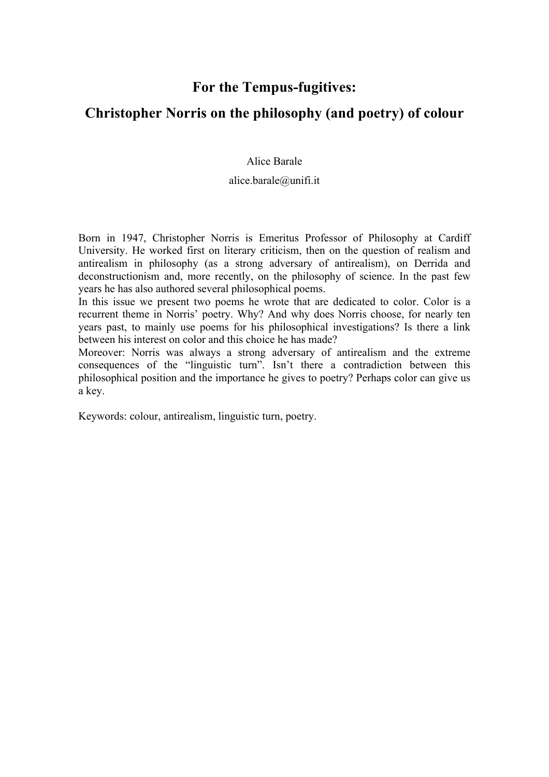## **For the Tempus-fugitives:**

## **Christopher Norris on the philosophy (and poetry) of colour**

Alice Barale

alice.barale@unifi.it

Born in 1947, Christopher Norris is Emeritus Professor of Philosophy at Cardiff University. He worked first on literary criticism, then on the question of realism and antirealism in philosophy (as a strong adversary of antirealism), on Derrida and deconstructionism and, more recently, on the philosophy of science. In the past few years he has also authored several philosophical poems.

In this issue we present two poems he wrote that are dedicated to color. Color is a recurrent theme in Norris' poetry. Why? And why does Norris choose, for nearly ten years past, to mainly use poems for his philosophical investigations? Is there a link between his interest on color and this choice he has made?

Moreover: Norris was always a strong adversary of antirealism and the extreme consequences of the "linguistic turn". Isn't there a contradiction between this philosophical position and the importance he gives to poetry? Perhaps color can give us a key.

Keywords: colour, antirealism, linguistic turn, poetry.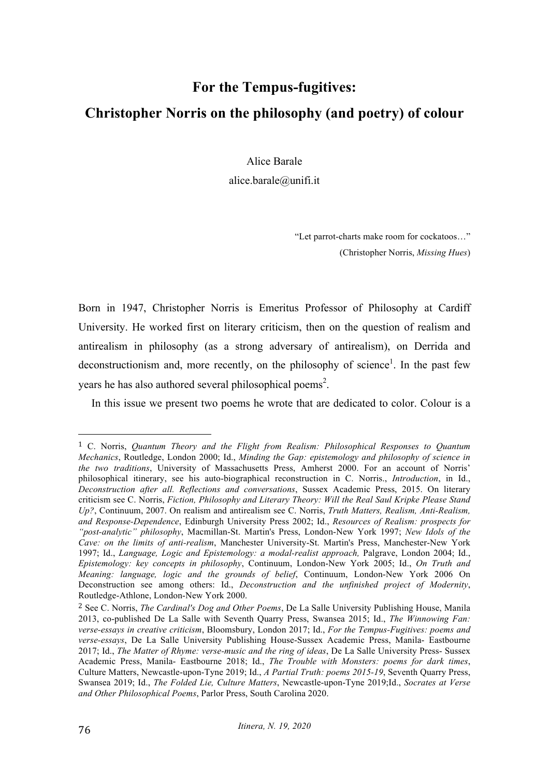## **For the Tempus-fugitives: Christopher Norris on the philosophy (and poetry) of colour**

Alice Barale

alice.barale@unifi.it

"Let parrot-charts make room for cockatoos…" (Christopher Norris, *Missing Hues*)

Born in 1947, Christopher Norris is Emeritus Professor of Philosophy at Cardiff University. He worked first on literary criticism, then on the question of realism and antirealism in philosophy (as a strong adversary of antirealism), on Derrida and deconstructionism and, more recently, on the philosophy of science<sup>1</sup>. In the past few years he has also authored several philosophical poems<sup>2</sup>.

In this issue we present two poems he wrote that are dedicated to color. Colour is a

 

<sup>1</sup> C. Norris, *Quantum Theory and the Flight from Realism: Philosophical Responses to Quantum Mechanics*, Routledge, London 2000; Id., *Minding the Gap: epistemology and philosophy of science in the two traditions*, University of Massachusetts Press, Amherst 2000. For an account of Norris' philosophical itinerary, see his auto-biographical reconstruction in C. Norris., *Introduction*, in Id., *Deconstruction after all. Reflections and conversations*, Sussex Academic Press, 2015. On literary criticism see C. Norris, *Fiction, Philosophy and Literary Theory: Will the Real Saul Kripke Please Stand Up?*, Continuum, 2007. On realism and antirealism see C. Norris, *Truth Matters, Realism, Anti-Realism, and Response-Dependence*, Edinburgh University Press 2002; Id., *Resources of Realism: prospects for "post-analytic" philosophy*, Macmillan-St. Martin's Press, London-New York 1997; *New Idols of the Cave: on the limits of anti-realism*, Manchester University-St. Martin's Press, Manchester-New York 1997; Id., *Language, Logic and Epistemology: a modal-realist approach,* Palgrave, London 2004; Id., *Epistemology: key concepts in philosophy*, Continuum, London-New York 2005; Id., *On Truth and Meaning: language, logic and the grounds of belief*, Continuum, London-New York 2006 On Deconstruction see among others: Id., *Deconstruction and the unfinished project of Modernity*, Routledge-Athlone, London-New York 2000.

<sup>2</sup> See C. Norris, *The Cardinal's Dog and Other Poems*, De La Salle University Publishing House, Manila 2013, co-published De La Salle with Seventh Quarry Press, Swansea 2015; Id., *The Winnowing Fan: verse-essays in creative criticism*, Bloomsbury, London 2017; Id., *For the Tempus-Fugitives: poems and verse-essays*, De La Salle University Publishing House-Sussex Academic Press, Manila- Eastbourne 2017; Id., *The Matter of Rhyme: verse-music and the ring of ideas*, De La Salle University Press- Sussex Academic Press, Manila- Eastbourne 2018; Id., *The Trouble with Monsters: poems for dark times*, Culture Matters, Newcastle-upon-Tyne 2019; Id., *A Partial Truth: poems 2015-19*, Seventh Quarry Press, Swansea 2019; Id., *The Folded Lie, Culture Matters*, Newcastle-upon-Tyne 2019;Id., *Socrates at Verse and Other Philosophical Poems*, Parlor Press, South Carolina 2020.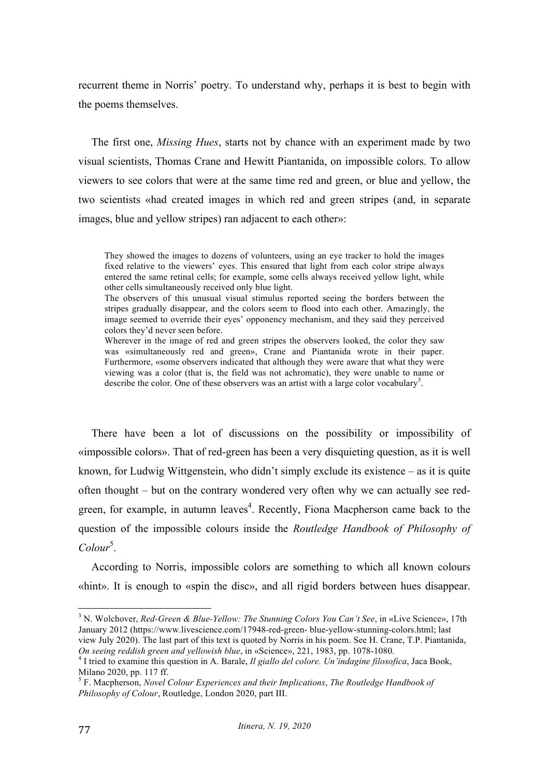recurrent theme in Norris' poetry. To understand why, perhaps it is best to begin with the poems themselves.

The first one, *Missing Hues*, starts not by chance with an experiment made by two visual scientists, Thomas Crane and Hewitt Piantanida, on impossible colors. To allow viewers to see colors that were at the same time red and green, or blue and yellow, the two scientists «had created images in which red and green stripes (and, in separate images, blue and yellow stripes) ran adjacent to each other»:

They showed the images to dozens of volunteers, using an eye tracker to hold the images fixed relative to the viewers' eyes. This ensured that light from each color stripe always entered the same retinal cells; for example, some cells always received yellow light, while other cells simultaneously received only blue light.

The observers of this unusual visual stimulus reported seeing the borders between the stripes gradually disappear, and the colors seem to flood into each other. Amazingly, the image seemed to override their eyes' opponency mechanism, and they said they perceived colors they'd never seen before.

Wherever in the image of red and green stripes the observers looked, the color they saw was «simultaneously red and green», Crane and Piantanida wrote in their paper. Furthermore, «some observers indicated that although they were aware that what they were viewing was a color (that is, the field was not achromatic), they were unable to name or describe the color. One of these observers was an artist with a large color vocabulary<sup>3</sup>.

There have been a lot of discussions on the possibility or impossibility of «impossible colors». That of red-green has been a very disquieting question, as it is well known, for Ludwig Wittgenstein, who didn't simply exclude its existence – as it is quite often thought – but on the contrary wondered very often why we can actually see redgreen, for example, in autumn leaves<sup>4</sup>. Recently, Fiona Macpherson came back to the question of the impossible colours inside the *Routledge Handbook of Philosophy of*  Colour<sup>5</sup>.

According to Norris, impossible colors are something to which all known colours «hint». It is enough to «spin the disc», and all rigid borders between hues disappear.

 <sup>3</sup> N. Wolchover, *Red-Green & Blue-Yellow: The Stunning Colors You Can't See*, in «Live Science», 17th January 2012 (https://www.livescience.com/17948-red-green- blue-yellow-stunning-colors.html; last view July 2020). The last part of this text is quoted by Norris in his poem. See H. Crane, T.P. Piantanida, On seeing reddish green and yellowish blue, in «Science», 221, 1983, pp. 1078-1080.

<sup>&</sup>lt;sup>4</sup> I tried to examine this question in A. Barale, *Il giallo del colore. Un'indagine filosofica*, Jaca Book, Milano 2020, pp. 117 ff.

<sup>5</sup> F. Macpherson, *Novel Colour Experiences and their Implications*, *The Routledge Handbook of Philosophy of Colour*, Routledge, London 2020, part III.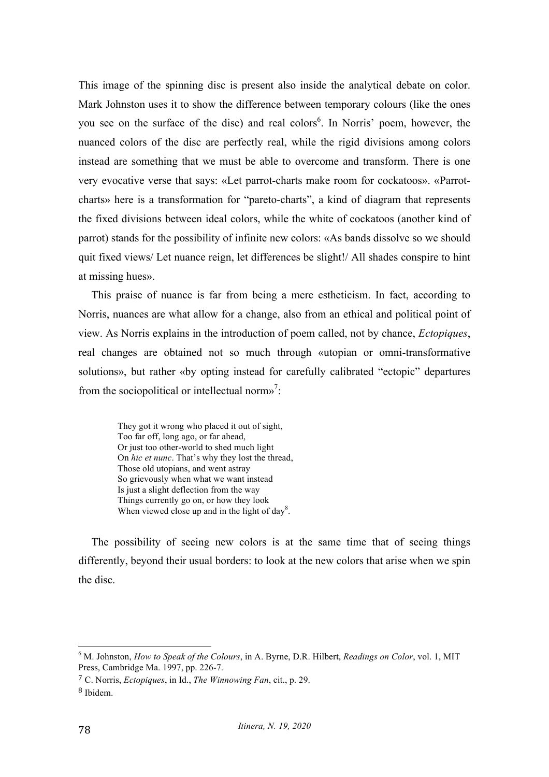This image of the spinning disc is present also inside the analytical debate on color. Mark Johnston uses it to show the difference between temporary colours (like the ones you see on the surface of the disc) and real colors<sup>6</sup>. In Norris' poem, however, the nuanced colors of the disc are perfectly real, while the rigid divisions among colors instead are something that we must be able to overcome and transform. There is one very evocative verse that says: «Let parrot-charts make room for cockatoos». «Parrotcharts» here is a transformation for "pareto-charts", a kind of diagram that represents the fixed divisions between ideal colors, while the white of cockatoos (another kind of parrot) stands for the possibility of infinite new colors: «As bands dissolve so we should quit fixed views/ Let nuance reign, let differences be slight!/ All shades conspire to hint at missing hues».

This praise of nuance is far from being a mere estheticism. In fact, according to Norris, nuances are what allow for a change, also from an ethical and political point of view. As Norris explains in the introduction of poem called, not by chance, *Ectopiques*, real changes are obtained not so much through «utopian or omni-transformative solutions», but rather «by opting instead for carefully calibrated "ectopic" departures from the sociopolitical or intellectual norms<sup>7</sup>:

They got it wrong who placed it out of sight, Too far off, long ago, or far ahead, Or just too other-world to shed much light On *hic et nunc*. That's why they lost the thread, Those old utopians, and went astray So grievously when what we want instead Is just a slight deflection from the way Things currently go on, or how they look When viewed close up and in the light of day<sup>8</sup>.

The possibility of seeing new colors is at the same time that of seeing things differently, beyond their usual borders: to look at the new colors that arise when we spin the disc.

 <sup>6</sup> M. Johnston, *How to Speak of the Colours*, in A. Byrne, D.R. Hilbert, *Readings on Color*, vol. 1, MIT Press, Cambridge Ma. 1997, pp. 226-7.

<sup>7</sup> C. Norris, *Ectopiques*, in Id., *The Winnowing Fan*, cit., p. 29.

<sup>8</sup> Ibidem.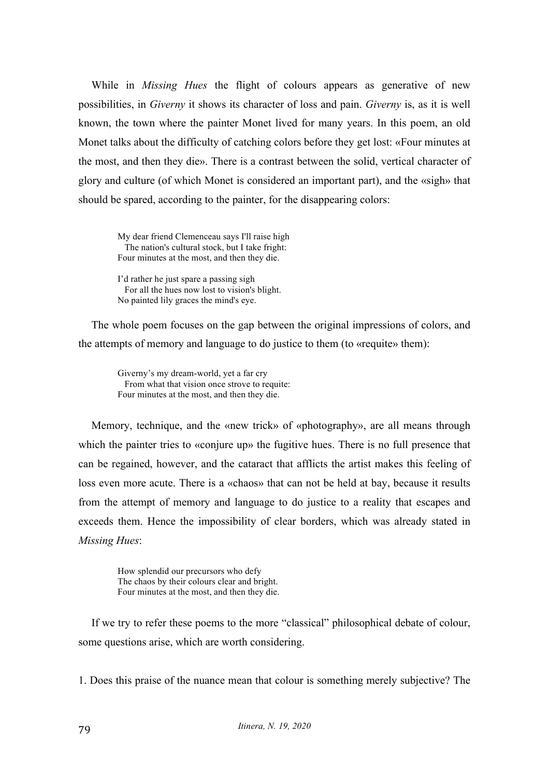While in *Missing Hues* the flight of colours appears as generative of new possibilities, in *Giverny* it shows its character of loss and pain. *Giverny* is, as it is well known, the town where the painter Monet lived for many years. In this poem, an old Monet talks about the difficulty of catching colors before they get lost: «Four minutes at the most, and then they die». There is a contrast between the solid, vertical character of glory and culture (of which Monet is considered an important part), and the «sigh» that should be spared, according to the painter, for the disappearing colors:

My dear friend Clemenceau says I'll raise high The nation's cultural stock, but I take fright: Four minutes at the most, and then they die.

I'd rather he just spare a passing sigh For all the hues now lost to vision's blight. No painted lily graces the mind's eye.

The whole poem focuses on the gap between the original impressions of colors, and the attempts of memory and language to do justice to them (to «requite» them):

Giverny's my dream-world, yet a far cry From what that vision once strove to requite: Four minutes at the most, and then they die.

Memory, technique, and the «new trick» of «photography», are all means through which the painter tries to «conjure up» the fugitive hues. There is no full presence that can be regained, however, and the cataract that afflicts the artist makes this feeling of loss even more acute. There is a «chaos» that can not be held at bay, because it results from the attempt of memory and language to do justice to a reality that escapes and exceeds them. Hence the impossibility of clear borders, which was already stated in *Missing Hues*:

How splendid our precursors who defy The chaos by their colours clear and bright. Four minutes at the most, and then they die.

If we try to refer these poems to the more "classical" philosophical debate of colour, some questions arise, which are worth considering.

1. Does this praise of the nuance mean that colour is something merely subjective? The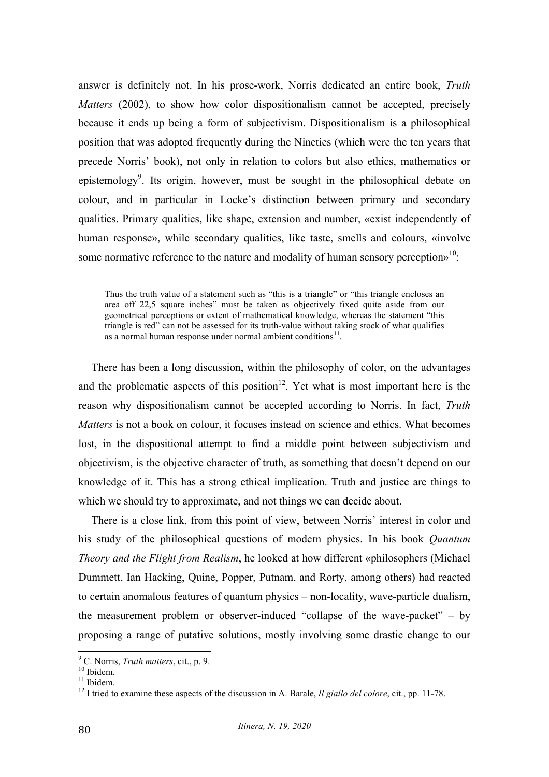answer is definitely not. In his prose-work, Norris dedicated an entire book, *Truth Matters* (2002), to show how color dispositionalism cannot be accepted, precisely because it ends up being a form of subjectivism. Dispositionalism is a philosophical position that was adopted frequently during the Nineties (which were the ten years that precede Norris' book), not only in relation to colors but also ethics, mathematics or epistemology<sup>9</sup>. Its origin, however, must be sought in the philosophical debate on colour, and in particular in Locke's distinction between primary and secondary qualities. Primary qualities, like shape, extension and number, «exist independently of human response», while secondary qualities, like taste, smells and colours, «involve some normative reference to the nature and modality of human sensory perception $v^{10}$ .

Thus the truth value of a statement such as "this is a triangle" or "this triangle encloses an area off 22,5 square inches" must be taken as objectively fixed quite aside from our geometrical perceptions or extent of mathematical knowledge, whereas the statement "this triangle is red" can not be assessed for its truth-value without taking stock of what qualifies as a normal human response under normal ambient conditions $^{11}$ .

There has been a long discussion, within the philosophy of color, on the advantages and the problematic aspects of this position<sup>12</sup>. Yet what is most important here is the reason why dispositionalism cannot be accepted according to Norris. In fact, *Truth Matters* is not a book on colour, it focuses instead on science and ethics. What becomes lost, in the dispositional attempt to find a middle point between subjectivism and objectivism, is the objective character of truth, as something that doesn't depend on our knowledge of it. This has a strong ethical implication. Truth and justice are things to which we should try to approximate, and not things we can decide about.

There is a close link, from this point of view, between Norris' interest in color and his study of the philosophical questions of modern physics. In his book *Quantum Theory and the Flight from Realism*, he looked at how different «philosophers (Michael Dummett, Ian Hacking, Quine, Popper, Putnam, and Rorty, among others) had reacted to certain anomalous features of quantum physics – non-locality, wave-particle dualism, the measurement problem or observer-induced "collapse of the wave-packet" – by proposing a range of putative solutions, mostly involving some drastic change to our

<sup>&</sup>lt;sup>9</sup> C. Norris, *Truth matters*, cit., p. 9.<br><sup>10</sup> Ibidem.<br><sup>11</sup> Ibidem.<br><sup>12</sup> I tried to examine these aspects of the discussion in A. Barale, *Il giallo del colore*, cit., pp. 11-78.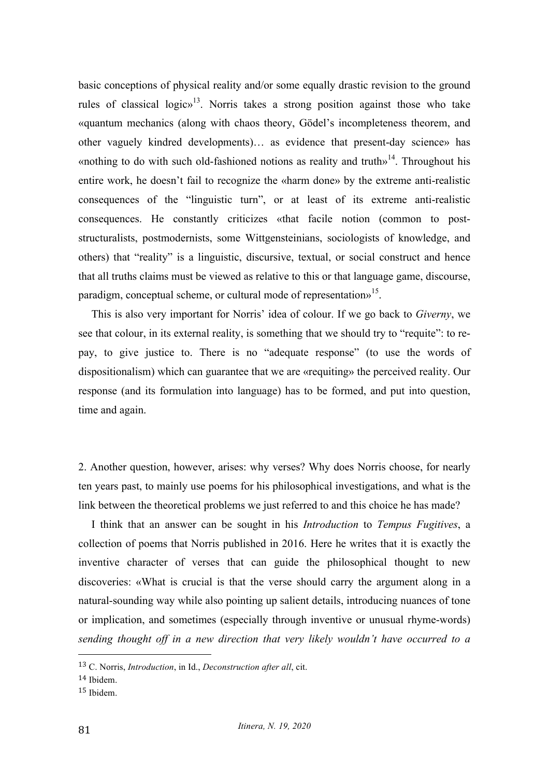basic conceptions of physical reality and/or some equally drastic revision to the ground rules of classical logic»<sup>13</sup>. Norris takes a strong position against those who take «quantum mechanics (along with chaos theory, Gödel's incompleteness theorem, and other vaguely kindred developments)… as evidence that present-day science» has «nothing to do with such old-fashioned notions as reality and truth»<sup>14</sup>. Throughout his entire work, he doesn't fail to recognize the «harm done» by the extreme anti-realistic consequences of the "linguistic turn", or at least of its extreme anti-realistic consequences. He constantly criticizes «that facile notion (common to poststructuralists, postmodernists, some Wittgensteinians, sociologists of knowledge, and others) that "reality" is a linguistic, discursive, textual, or social construct and hence that all truths claims must be viewed as relative to this or that language game, discourse, paradigm, conceptual scheme, or cultural mode of representations<sup>15</sup>.

This is also very important for Norris' idea of colour. If we go back to *Giverny*, we see that colour, in its external reality, is something that we should try to "requite": to repay, to give justice to. There is no "adequate response" (to use the words of dispositionalism) which can guarantee that we are «requiting» the perceived reality. Our response (and its formulation into language) has to be formed, and put into question, time and again.

2. Another question, however, arises: why verses? Why does Norris choose, for nearly ten years past, to mainly use poems for his philosophical investigations, and what is the link between the theoretical problems we just referred to and this choice he has made?

I think that an answer can be sought in his *Introduction* to *Tempus Fugitives*, a collection of poems that Norris published in 2016. Here he writes that it is exactly the inventive character of verses that can guide the philosophical thought to new discoveries: «What is crucial is that the verse should carry the argument along in a natural-sounding way while also pointing up salient details, introducing nuances of tone or implication, and sometimes (especially through inventive or unusual rhyme-words) *sending thought off in a new direction that very likely wouldn't have occurred to a* 

 

<sup>13</sup> C. Norris, *Introduction*, in Id., *Deconstruction after all*, cit.

<sup>14</sup> Ibidem.

<sup>15</sup> Ibidem.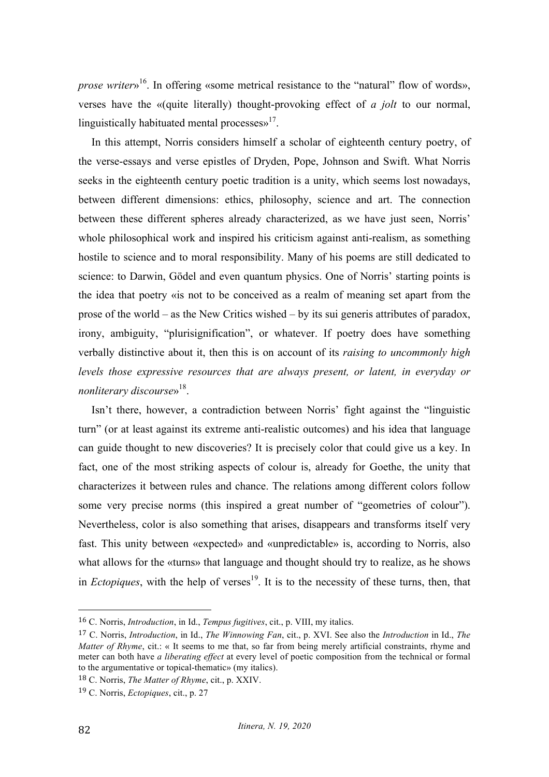*prose writer*<sup>16</sup>. In offering «some metrical resistance to the "natural" flow of words», verses have the «(quite literally) thought-provoking effect of *a jolt* to our normal, linguistically habituated mental processes $v^{17}$ .

In this attempt, Norris considers himself a scholar of eighteenth century poetry, of the verse-essays and verse epistles of Dryden, Pope, Johnson and Swift. What Norris seeks in the eighteenth century poetic tradition is a unity, which seems lost nowadays, between different dimensions: ethics, philosophy, science and art. The connection between these different spheres already characterized, as we have just seen, Norris' whole philosophical work and inspired his criticism against anti-realism, as something hostile to science and to moral responsibility. Many of his poems are still dedicated to science: to Darwin, Gödel and even quantum physics. One of Norris' starting points is the idea that poetry «is not to be conceived as a realm of meaning set apart from the prose of the world – as the New Critics wished – by its sui generis attributes of paradox, irony, ambiguity, "plurisignification", or whatever. If poetry does have something verbally distinctive about it, then this is on account of its *raising to uncommonly high levels those expressive resources that are always present, or latent, in everyday or nonliterary discourse*»18.

Isn't there, however, a contradiction between Norris' fight against the "linguistic turn" (or at least against its extreme anti-realistic outcomes) and his idea that language can guide thought to new discoveries? It is precisely color that could give us a key. In fact, one of the most striking aspects of colour is, already for Goethe, the unity that characterizes it between rules and chance. The relations among different colors follow some very precise norms (this inspired a great number of "geometries of colour"). Nevertheless, color is also something that arises, disappears and transforms itself very fast. This unity between «expected» and «unpredictable» is, according to Norris, also what allows for the «turns» that language and thought should try to realize, as he shows in *Ectopiques*, with the help of verses<sup>19</sup>. It is to the necessity of these turns, then, that

 

<sup>16</sup> C. Norris, *Introduction*, in Id., *Tempus fugitives*, cit., p. VIII, my italics.

<sup>17</sup> C. Norris, *Introduction*, in Id., *The Winnowing Fan*, cit., p. XVI. See also the *Introduction* in Id., *The Matter of Rhyme*, cit.: « It seems to me that, so far from being merely artificial constraints, rhyme and meter can both have *a liberating effect* at every level of poetic composition from the technical or formal to the argumentative or topical-thematic» (my italics).

<sup>18</sup> C. Norris, *The Matter of Rhyme*, cit., p. XXIV.

<sup>19</sup> C. Norris, *Ectopiques*, cit., p. 27